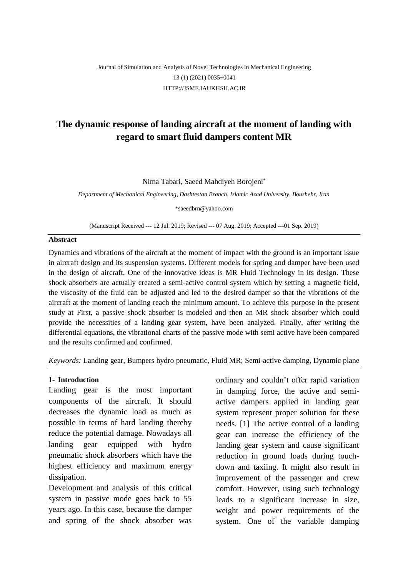## Journal of Simulation and Analysis of Novel Technologies in Mechanical Engineering 13 (1) (2021) 0035~0041 [HTTP://JSME.IAUKHSH.AC.IR](http://jsme.iaukhsh.ac.ir/)

# **The dynamic response of landing aircraft at the moment of landing with regard to smart fluid dampers content MR**

Nima Tabari, Saeed Mahdiyeh Borojeni\*

*Department of Mechanical Engineering, Dashtestan Branch, Islamic Azad University, Boushehr, Iran*

*\**saeedbrn@yahoo.com

(Manuscript Received --- 12 Jul. 2019; Revised --- 07 Aug. 2019; Accepted ---01 Sep. 2019)

## **Abstract**

Dynamics and vibrations of the aircraft at the moment of impact with the ground is an important issue in aircraft design and its suspension systems. Different models for spring and damper have been used in the design of aircraft. One of the innovative ideas is MR Fluid Technology in its design. These shock absorbers are actually created a semi-active control system which by setting a magnetic field, the viscosity of the fluid can be adjusted and led to the desired damper so that the vibrations of the aircraft at the moment of landing reach the minimum amount. To achieve this purpose in the present study at First, a passive shock absorber is modeled and then an MR shock absorber which could provide the necessities of a landing gear system, have been analyzed. Finally, after writing the differential equations, the vibrational charts of the passive mode with semi active have been compared and the results confirmed and confirmed.

*Keywords:* Landing gear, Bumpers hydro pneumatic, Fluid MR; Semi-active damping, Dynamic plane

## **1- Introduction**

Landing gear is the most important components of the aircraft. It should decreases the dynamic load as much as possible in terms of hard landing thereby reduce the potential damage. Nowadays all landing gear equipped with hydro pneumatic shock absorbers which have the highest efficiency and maximum energy dissipation.

Development and analysis of this critical system in passive mode goes back to 55 years ago. In this case, because the damper and spring of the shock absorber was ordinary and couldn't offer rapid variation in damping force, the active and semiactive dampers applied in landing gear system represent proper solution for these needs. [1] The active control of a landing gear can increase the efficiency of the landing gear system and cause significant reduction in ground loads during touchdown and taxiing. It might also result in improvement of the passenger and crew comfort. However, using such technology leads to a significant increase in size, weight and power requirements of the system. One of the variable damping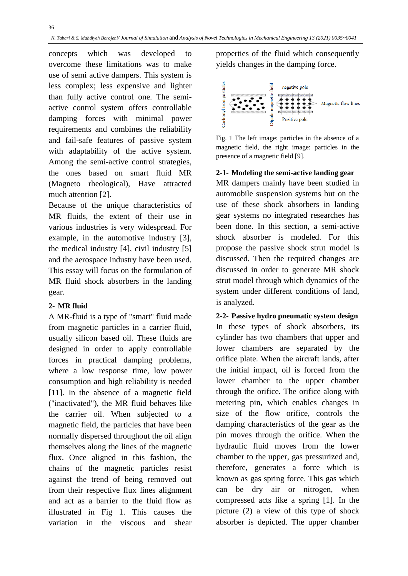concepts which was developed to overcome these limitations was to make use of semi active dampers. This system is less complex; less expensive and lighter than fully active control one. The semiactive control system offers controllable damping forces with minimal power requirements and combines the reliability and fail-safe features of passive system with adaptability of the active system. Among the semi-active control strategies, the ones based on smart fluid MR (Magneto rheological), Have attracted much attention [2].

Because of the unique characteristics of MR fluids, the extent of their use in various industries is very widespread. For example, in the automotive industry [3], the medical industry [4], civil industry [5] and the aerospace industry have been used. This essay will focus on the formulation of MR fluid shock absorbers in the landing gear.

## **2- MR fluid**

A MR-fluid is a type of "smart" fluid made from magnetic particles in a carrier fluid, usually silicon based oil. These fluids are designed in order to apply controllable forces in practical damping problems, where a low response time, low power consumption and high reliability is needed [11]. In the absence of a magnetic field ("inactivated"), the MR fluid behaves like the carrier oil. When subjected to a magnetic field, the particles that have been normally dispersed throughout the oil align themselves along the lines of the magnetic flux. Once aligned in this fashion, the chains of the magnetic particles resist against the trend of being removed out from their respective flux lines alignment and act as a barrier to the fluid flow as illustrated in Fig 1. This causes the variation in the viscous and shear

properties of the fluid which consequently yields changes in the damping force.



Fig. 1 The left image: particles in the absence of a magnetic field, the right image: particles in the presence of a magnetic field [9].

#### **2-1- Modeling the semi-active landing gear**

MR dampers mainly have been studied in automobile suspension systems but on the use of these shock absorbers in landing gear systems no integrated researches has been done. In this section, a semi-active shock absorber is modeled. For this propose the passive shock strut model is discussed. Then the required changes are discussed in order to generate MR shock strut model through which dynamics of the system under different conditions of land, is analyzed.

**2-2- Passive hydro pneumatic system design**  In these types of shock absorbers, its cylinder has two chambers that upper and lower chambers are separated by the orifice plate. When the aircraft lands, after the initial impact, oil is forced from the lower chamber to the upper chamber through the orifice. The orifice along with metering pin, which enables changes in size of the flow orifice, controls the damping characteristics of the gear as the pin moves through the orifice. When the hydraulic fluid moves from the lower chamber to the upper, gas pressurized and, therefore, generates a force which is known as gas spring force. This gas which can be dry air or nitrogen, when compressed acts like a spring [1]. In the picture (2) a view of this type of shock absorber is depicted. The upper chamber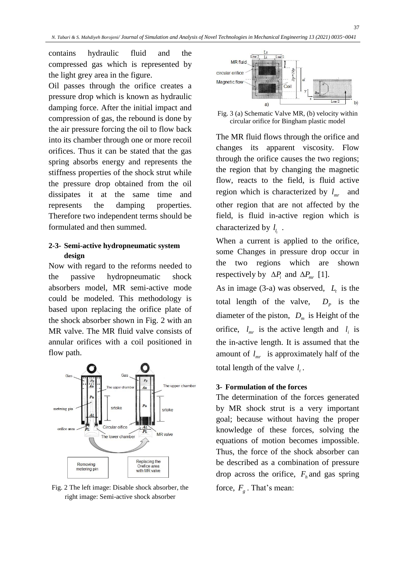contains hydraulic fluid and the compressed gas which is represented by the light grey area in the figure.

Oil passes through the orifice creates a pressure drop which is known as hydraulic damping force. After the initial impact and compression of gas, the rebound is done by the air pressure forcing the oil to flow back into its chamber through one or more recoil orifices. Thus it can be stated that the gas spring absorbs energy and represents the stiffness properties of the shock strut while the pressure drop obtained from the oil dissipates it at the same time and represents the damping properties. Therefore two independent terms should be formulated and then summed.

## **2-3- Semi-active hydropneumatic system design**

Now with regard to the reforms needed to the passive hydropneumatic shock absorbers model, MR semi-active mode could be modeled. This methodology is based upon replacing the orifice plate of the shock absorber shown in Fig. 2 with an MR valve. The MR fluid valve consists of annular orifices with a coil positioned in flow path.



Fig. 2 The left image: Disable shock absorber, the right image: Semi-active shock absorber



37

Fig. 3 (a) Schematic Valve MR, (b) velocity within circular orifice for Bingham plastic model

The MR fluid flows through the orifice and changes its apparent viscosity. Flow through the orifice causes the two regions; the region that by changing the magnetic flow, reacts to the field, is fluid active region which is characterized by  $l_{m}$ and other region that are not affected by the field, is fluid in-active region which is characterized by *l l* . *i*

When a current is applied to the orifice, some Changes in pressure drop occur in the two regions which are shown respectively by  $\Delta P_i$  and  $\Delta P_{mr}$  [1].

As in image (3-a) was observed,  $L_t$  is the total length of the valve,  $D_p$  is the diameter of the piston,  $D_m$  is Height of the orifice,  $l_{mr}$  is the active length and  $l_i$  is the in-active length. It is assumed that the amount of  $l_{mr}$  is approximately half of the total length of the valve  $l_i$ .

## **3- Formulation of the forces**

The determination of the forces generated by MR shock strut is a very important goal; because without having the proper knowledge of these forces, solving the equations of motion becomes impossible. Thus, the force of the shock absorber can be described as a combination of pressure drop across the orifice,  $F_h$  and gas spring force,  $F<sub>g</sub>$ . That's mean: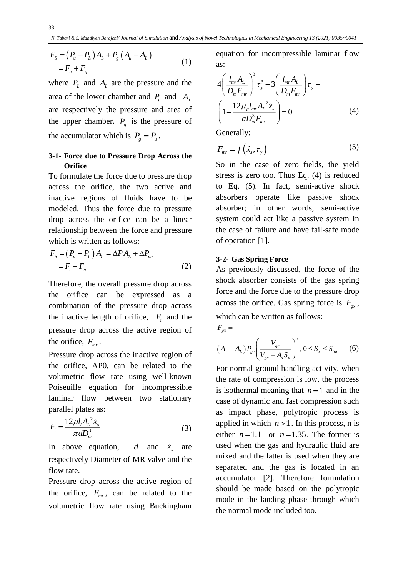$$
F_{s} = (P_{u} - P_{L})A_{L} + P_{g}(A_{u} - A_{L})
$$
  
=  $F_{h} + F_{g}$  (1)

where  $P_L$  and  $A_L$  are the pressure and the area of the lower chamber and  $P_u$  and  $A_u$ are respectively the pressure and area of the upper chamber.  $P_g$  is the pressure of the accumulator which is  $P_g = P_u$ .

## **3-1- Force due to Pressure Drop Across the Orifice**

To formulate the force due to pressure drop across the orifice, the two active and inactive regions of fluids have to be modeled. Thus the force due to pressure drop across the orifice can be a linear relationship between the force and pressure which is written as follows:

$$
F_h = (P_u - P_L)A_L = \Delta P_i A_L + \Delta P_{mr}
$$
  
=  $F_i + F_n$  (2)

Therefore, the overall pressure drop across the orifice can be expressed as a combination of the pressure drop across the inactive length of orifice,  $F_i$  and the pressure drop across the active region of the orifice,  $F_{\text{mr}}$ .

Pressure drop across the inactive region of the orifice, AP0, can be related to the volumetric flow rate using well-known Poiseuille equation for incompressible laminar flow between two stationary parallel plates as:

$$
F_i = \frac{12\mu l_i A_L^2 \dot{x}_s}{\pi d D_m^3}
$$
 (3)

In above equation, and  $\dot{x}_s$ are respectively Diameter of MR valve and the flow rate.

Pressure drop across the active region of the orifice,  $F_{mr}$ , can be related to the volumetric flow rate using Buckingham

equation for incompressible laminar flow as:

$$
4\left(\frac{l_{mr}A_{L}}{D_{m}F_{mr}}\right)^{3} \tau_{y}^{3} - 3\left(\frac{l_{mr}A_{L}}{D_{m}F_{mr}}\right)\tau_{y} +
$$

$$
\left(1 - \frac{12\mu_{p}l_{mr}A_{L}^{2}\dot{x}_{s}}{aD_{m}^{3}F_{mr}}\right) = 0
$$
(4)

Generally:

$$
F_{mr} = f\left(\dot{x}_s, \tau_y\right) \tag{5}
$$

So in the case of zero fields, the yield stress is zero too. Thus Eq. (4) is reduced to Eq. (5). In fact, semi-active shock absorbers operate like passive shock absorber; in other words, semi-active system could act like a passive system In the case of failure and have fail-safe mode of operation [1].

#### **3-2- Gas Spring Force**

As previously discussed, the force of the shock absorber consists of the gas spring force and the force due to the pressure drop across the orifice. Gas spring force is  $F_{gx}$ , which can be written as follows:

$$
F_{gx} =
$$

$$
(A_{u} - A_{L}) P_{ge} \left(\frac{V_{ge}}{V_{ge} - A_{u} S_{x}}\right)^{n}, 0 \leq S_{x} \leq S_{tot}
$$
 (6)

For normal ground handling activity, when the rate of compression is low, the process is isothermal meaning that  $n=1$  and in the case of dynamic and fast compression such as impact phase, polytropic process is applied in which  $n > 1$ . In this process, n is either  $n=1.1$  or  $n=1.35$ . The former is used when the gas and hydraulic fluid are mixed and the latter is used when they are separated and the gas is located in an accumulator [2]. Therefore formulation should be made based on the polytropic mode in the landing phase through which the normal mode included too.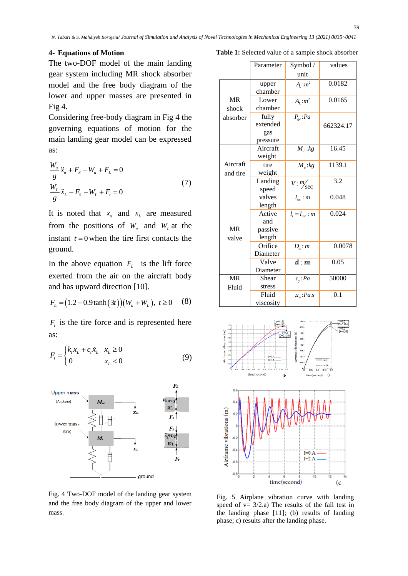#### **4- Equations of Motion**

*W*

The two-DOF model of the main landing gear system including MR shock absorber model and the free body diagram of the lower and upper masses are presented in Fig 4.

Considering free-body diagram in Fig 4 the governing equations of motion for the main landing gear model can be expressed as:

$$
\frac{W_u}{g}\ddot{x}_u + F_s - W_u + F_L = 0
$$
\n
$$
\frac{W_L}{g}\ddot{x}_L - F_s - W_L + F_t = 0
$$
\n(7)

It is noted that  $x_u$  and  $x_L$  are measured from the positions of  $W_u$  and  $W_L$  at the instant  $t = 0$  when the tire first contacts the ground.

In the above equation  $F_L$  is the lift force exerted from the air on the aircraft body and has upward direction [10].

$$
F_L = (1.2 - 0.9 \tanh(3t))(W_u + W_L), t \ge 0 \quad (8)
$$

 $F<sub>t</sub>$  is the tire force and is represented here as:

$$
F_{t} = \begin{cases} k_{t}x_{L} + c_{t}\dot{x}_{L} & x_{L} \ge 0\\ 0 & x_{L} < 0 \end{cases}
$$
(9)



Fig. 4 Two-DOF model of the landing gear system and the free body diagram of the upper and lower mass.

**Table 1:** Selected value of a sample shock absorber

|           | Parameter | Symbol/                          | values    |
|-----------|-----------|----------------------------------|-----------|
|           |           | unit                             |           |
|           | upper     | $A_{u}$ : $m^{2}$                | 0.0182    |
|           | chamber   |                                  |           |
| <b>MR</b> | Lower     | $A_L$ : $m^2$                    | 0.0165    |
| shock     | chamber   |                                  |           |
| absorber  | fully     | $P_{ge}:Pa$                      |           |
|           | extended  |                                  | 662324.17 |
|           | gas       |                                  |           |
|           | pressure  |                                  |           |
|           | Aircraft  | $M_L$ : $kg$                     | 16.45     |
|           | weight    |                                  |           |
| Aircraft  | tire      | $M_{u}$ :kg                      | 1139.1    |
| and tire  | weight    |                                  |           |
|           | Landing   | $V: \frac{m}{\sec}$              | 3.2       |
|           | speed     |                                  |           |
|           | valves    | $l_{\scriptscriptstyle tot}$ : m | 0.048     |
|           | length    |                                  |           |
|           | Active    | $l_i = l_{mr}$ : m               | 0.024     |
|           | and       |                                  |           |
| <b>MR</b> | passive   |                                  |           |
| valve     | length    |                                  |           |
|           | Orifice   | $D_m$ : m                        | 0.0078    |
|           | Diameter  |                                  |           |
|           | Valve     | d m                              | 0.05      |
|           | Diameter  |                                  |           |
| <b>MR</b> | Shear     | $\tau_{v}$ : Pa                  | 50000     |
| Fluid     | stress    |                                  |           |
|           | Fluid     | $\mu_{n}$ : Pa.s                 | 0.1       |
|           | viscosity |                                  |           |



Fig. 5 Airplane vibration curve with landing speed of  $v= 3/2.a$ ) The results of the fall test in the landing phase [11]; (b) results of landing phase; c) results after the landing phase.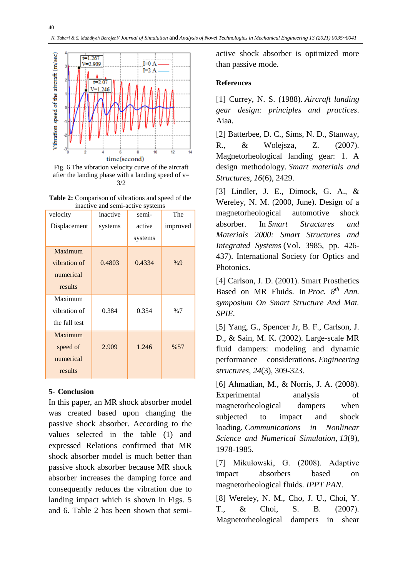

Fig. 6 The vibration velocity curve of the aircraft after the landing phase with a landing speed of  $v=$ 3/2

**Table 2:** Comparison of vibrations and speed of the inactive and semi-active systems

| velocity      | inactive | semi-   | The      |
|---------------|----------|---------|----------|
| Displacement  | systems  | active  | improved |
|               |          | systems |          |
| Maximum       |          |         |          |
| vibration of  | 0.4803   | 0.4334  | %9       |
| numerical     |          |         |          |
| results       |          |         |          |
| Maximum       |          |         |          |
| vibration of  | 0.384    | 0.354   | %7       |
| the fall test |          |         |          |
| Maximum       |          |         |          |
| speed of      | 2.909    | 1.246   | %57      |
| numerical     |          |         |          |
| results       |          |         |          |

### **5- Conclusion**

In this paper, an MR shock absorber model was created based upon changing the passive shock absorber. According to the values selected in the table (1) and expressed Relations confirmed that MR shock absorber model is much better than passive shock absorber because MR shock absorber increases the damping force and consequently reduces the vibration due to landing impact which is shown in Figs. 5 and 6. Table 2 has been shown that semiactive shock absorber is optimized more than passive mode.

## **References**

[1] Currey, N. S. (1988). *Aircraft landing gear design: principles and practices*. Aiaa.

[2] Batterbee, D. C., Sims, N. D., Stanway, R., & Wolejsza, Z. (2007). Magnetorheological landing gear: 1. A design methodology. *Smart materials and Structures*, *16*(6), 2429.

[3] Lindler, J. E., Dimock, G. A., & Wereley, N. M. (2000, June). Design of a magnetorheological automotive shock absorber. In *Smart Structures and Materials 2000: Smart Structures and Integrated Systems* (Vol. 3985, pp. 426- 437). International Society for Optics and Photonics.

[4] Carlson, J. D. (2001). Smart Prosthetics Based on MR Fluids. In *Proc. 8 th Ann. symposium On Smart Structure And Mat. SPIE*.

[5] Yang, G., Spencer Jr, B. F., Carlson, J. D., & Sain, M. K. (2002). Large-scale MR fluid dampers: modeling and dynamic performance considerations. *Engineering structures*, *24*(3), 309-323.

[6] Ahmadian, M., & Norris, J. A. (2008). Experimental analysis of magnetorheological dampers when subjected to impact and shock loading. *Communications in Nonlinear Science and Numerical Simulation*, *13*(9), 1978-1985.

[7] Mikułowski, G. (2008). Adaptive impact absorbers based on magnetorheological fluids. *IPPT PAN*.

[8] Wereley, N. M., Cho, J. U., Choi, Y. T., & Choi, S. B. (2007). Magnetorheological dampers in shear